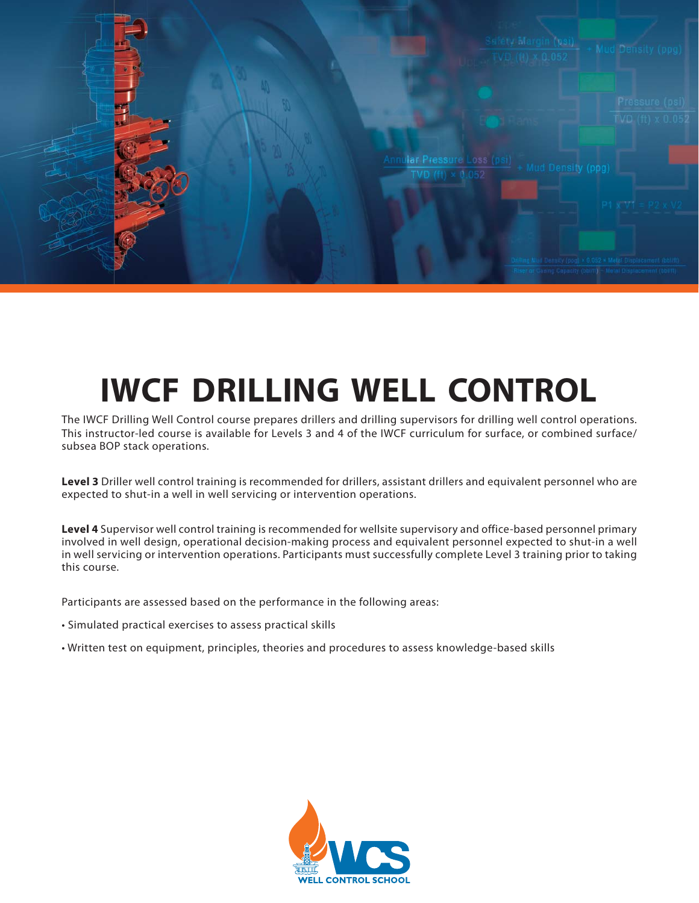

# **IWCF DRILLING WELL CONTROL**

The IWCF Drilling Well Control course prepares drillers and drilling supervisors for drilling well control operations. This instructor-led course is available for Levels 3 and 4 of the IWCF curriculum for surface, or combined surface/ subsea BOP stack operations.

**Level 3** Driller well control training is recommended for drillers, assistant drillers and equivalent personnel who are expected to shut-in a well in well servicing or intervention operations.

**Level 4** Supervisor well control training is recommended for wellsite supervisory and office-based personnel primary involved in well design, operational decision-making process and equivalent personnel expected to shut-in a well in well servicing or intervention operations. Participants must successfully complete Level 3 training prior to taking this course.

Participants are assessed based on the performance in the following areas:

- Simulated practical exercises to assess practical skills
- Written test on equipment, principles, theories and procedures to assess knowledge-based skills